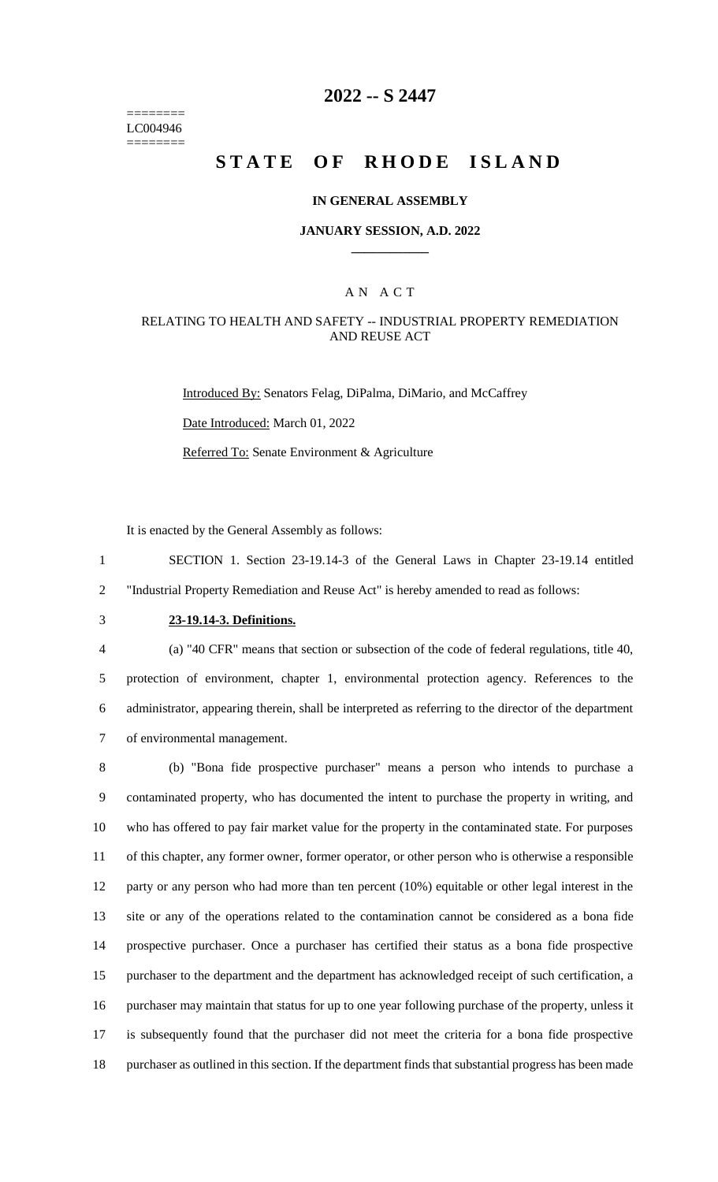======== LC004946 ========

# **2022 -- S 2447**

# **STATE OF RHODE ISLAND**

#### **IN GENERAL ASSEMBLY**

#### **JANUARY SESSION, A.D. 2022 \_\_\_\_\_\_\_\_\_\_\_\_**

### A N A C T

### RELATING TO HEALTH AND SAFETY -- INDUSTRIAL PROPERTY REMEDIATION AND REUSE ACT

Introduced By: Senators Felag, DiPalma, DiMario, and McCaffrey

Date Introduced: March 01, 2022

Referred To: Senate Environment & Agriculture

It is enacted by the General Assembly as follows:

1 SECTION 1. Section 23-19.14-3 of the General Laws in Chapter 23-19.14 entitled 2 "Industrial Property Remediation and Reuse Act" is hereby amended to read as follows:

# 3 **23-19.14-3. Definitions.**

 (a) "40 CFR" means that section or subsection of the code of federal regulations, title 40, protection of environment, chapter 1, environmental protection agency. References to the administrator, appearing therein, shall be interpreted as referring to the director of the department of environmental management.

 (b) "Bona fide prospective purchaser" means a person who intends to purchase a contaminated property, who has documented the intent to purchase the property in writing, and who has offered to pay fair market value for the property in the contaminated state. For purposes of this chapter, any former owner, former operator, or other person who is otherwise a responsible party or any person who had more than ten percent (10%) equitable or other legal interest in the site or any of the operations related to the contamination cannot be considered as a bona fide prospective purchaser. Once a purchaser has certified their status as a bona fide prospective purchaser to the department and the department has acknowledged receipt of such certification, a purchaser may maintain that status for up to one year following purchase of the property, unless it is subsequently found that the purchaser did not meet the criteria for a bona fide prospective purchaser as outlined in this section. If the department finds that substantial progress has been made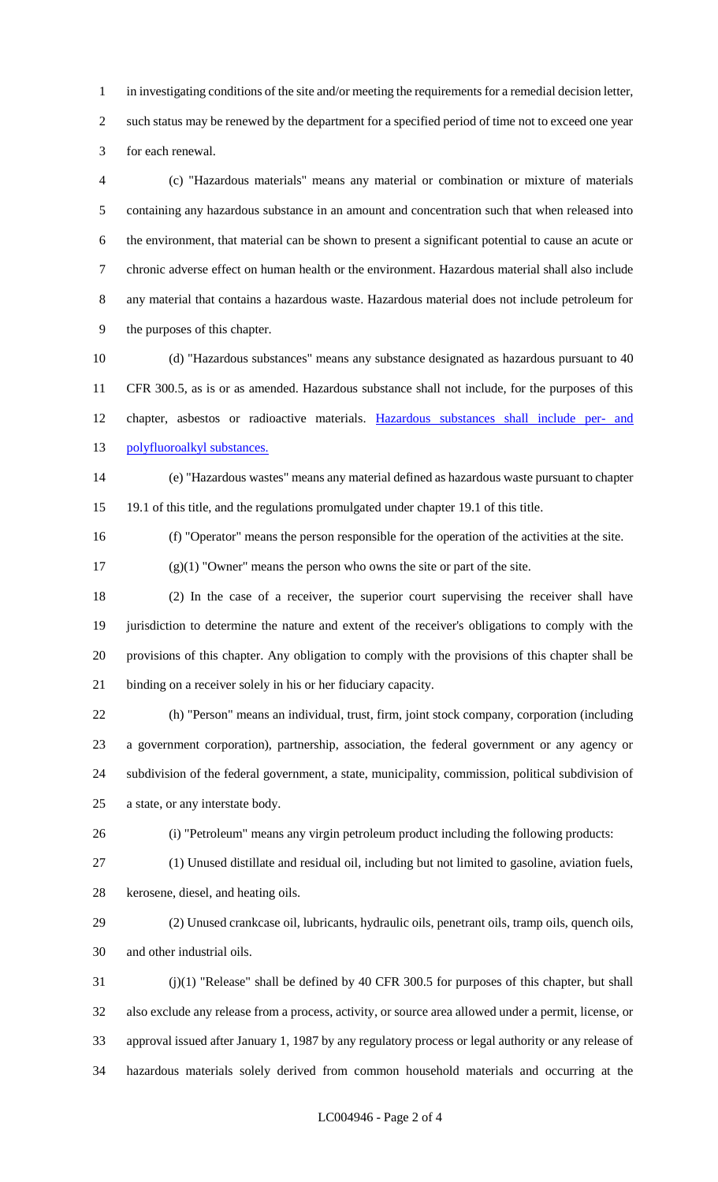in investigating conditions of the site and/or meeting the requirements for a remedial decision letter, such status may be renewed by the department for a specified period of time not to exceed one year for each renewal.

 (c) "Hazardous materials" means any material or combination or mixture of materials containing any hazardous substance in an amount and concentration such that when released into the environment, that material can be shown to present a significant potential to cause an acute or chronic adverse effect on human health or the environment. Hazardous material shall also include any material that contains a hazardous waste. Hazardous material does not include petroleum for the purposes of this chapter.

 (d) "Hazardous substances" means any substance designated as hazardous pursuant to 40 CFR 300.5, as is or as amended. Hazardous substance shall not include, for the purposes of this chapter, asbestos or radioactive materials. Hazardous substances shall include per- and polyfluoroalkyl substances.

 (e) "Hazardous wastes" means any material defined as hazardous waste pursuant to chapter 19.1 of this title, and the regulations promulgated under chapter 19.1 of this title.

(f) "Operator" means the person responsible for the operation of the activities at the site.

(g)(1) "Owner" means the person who owns the site or part of the site.

 (2) In the case of a receiver, the superior court supervising the receiver shall have jurisdiction to determine the nature and extent of the receiver's obligations to comply with the provisions of this chapter. Any obligation to comply with the provisions of this chapter shall be binding on a receiver solely in his or her fiduciary capacity.

 (h) "Person" means an individual, trust, firm, joint stock company, corporation (including a government corporation), partnership, association, the federal government or any agency or subdivision of the federal government, a state, municipality, commission, political subdivision of a state, or any interstate body.

(i) "Petroleum" means any virgin petroleum product including the following products:

(1) Unused distillate and residual oil, including but not limited to gasoline, aviation fuels,

kerosene, diesel, and heating oils.

 (2) Unused crankcase oil, lubricants, hydraulic oils, penetrant oils, tramp oils, quench oils, and other industrial oils.

 (j)(1) "Release" shall be defined by 40 CFR 300.5 for purposes of this chapter, but shall also exclude any release from a process, activity, or source area allowed under a permit, license, or approval issued after January 1, 1987 by any regulatory process or legal authority or any release of hazardous materials solely derived from common household materials and occurring at the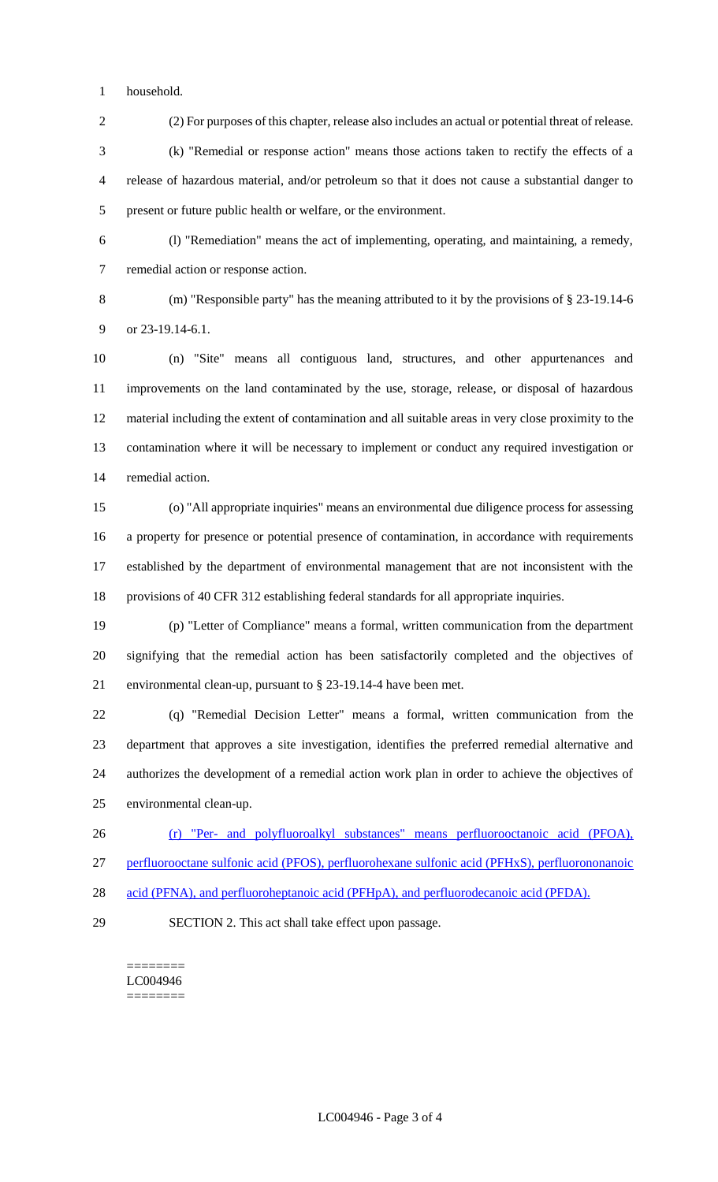household.

(2) For purposes of this chapter, release also includes an actual or potential threat of release.

 (k) "Remedial or response action" means those actions taken to rectify the effects of a release of hazardous material, and/or petroleum so that it does not cause a substantial danger to present or future public health or welfare, or the environment.

 (l) "Remediation" means the act of implementing, operating, and maintaining, a remedy, remedial action or response action.

(m) "Responsible party" has the meaning attributed to it by the provisions of § 23-19.14-6

9 or 23-19.14-6.1.

 (n) "Site" means all contiguous land, structures, and other appurtenances and improvements on the land contaminated by the use, storage, release, or disposal of hazardous material including the extent of contamination and all suitable areas in very close proximity to the contamination where it will be necessary to implement or conduct any required investigation or remedial action.

 (o) "All appropriate inquiries" means an environmental due diligence process for assessing a property for presence or potential presence of contamination, in accordance with requirements established by the department of environmental management that are not inconsistent with the provisions of 40 CFR 312 establishing federal standards for all appropriate inquiries.

 (p) "Letter of Compliance" means a formal, written communication from the department signifying that the remedial action has been satisfactorily completed and the objectives of environmental clean-up, pursuant to § 23-19.14-4 have been met.

 (q) "Remedial Decision Letter" means a formal, written communication from the department that approves a site investigation, identifies the preferred remedial alternative and authorizes the development of a remedial action work plan in order to achieve the objectives of environmental clean-up.

 (r) "Per- and polyfluoroalkyl substances" means perfluorooctanoic acid (PFOA), perfluorooctane sulfonic acid (PFOS), perfluorohexane sulfonic acid (PFHxS), perfluorononanoic

- 28 acid (PFNA), and perfluoroheptanoic acid (PFHpA), and perfluorodecanoic acid (PFDA).
- 

SECTION 2. This act shall take effect upon passage.

======== LC004946 ========